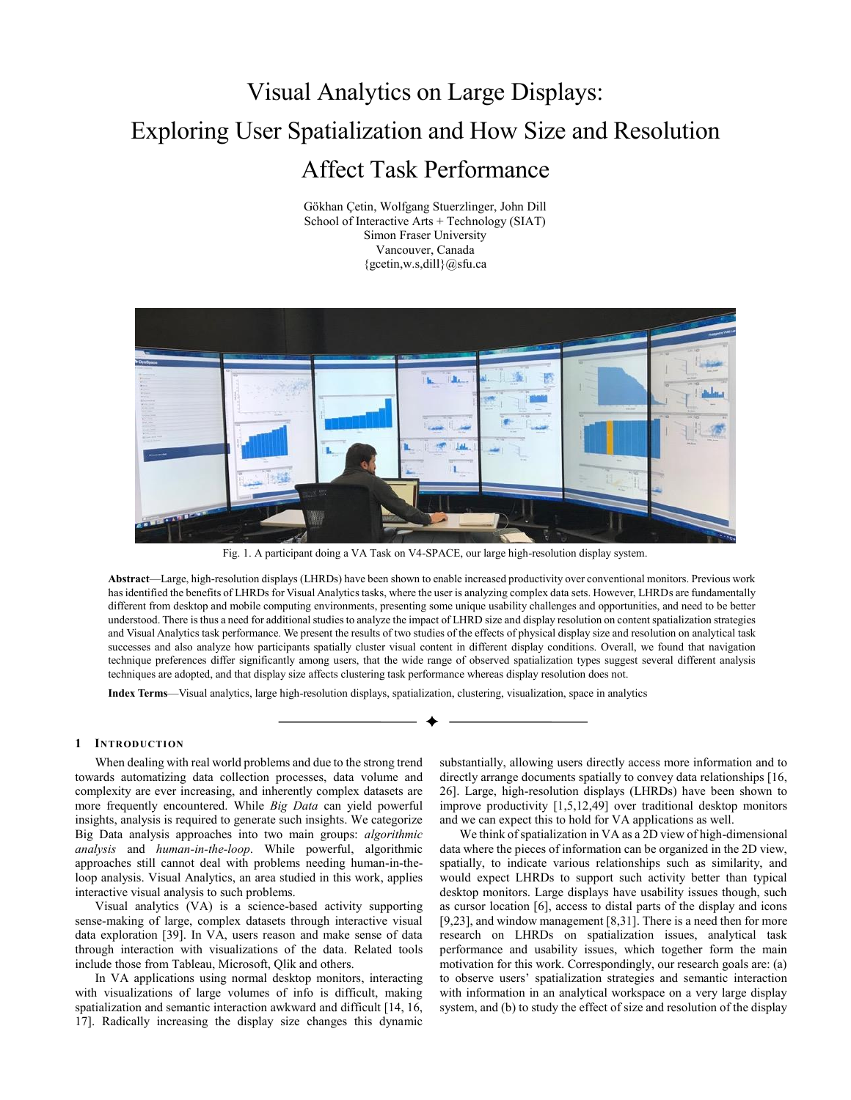# Visual Analytics on Large Displays: Exploring User Spatialization and How Size and Resolution Affect Task Performance

Gökhan Çetin, Wolfgang Stuerzlinger, John Dill School of Interactive Arts + Technology (SIAT) Simon Fraser University Vancouver, Canada  ${geetin,w.s,dill}$ @sfu.ca



Fig. 1. A participant doing a VA Task on V4-SPACE, our large high-resolution display system.

**Abstract**—Large, high-resolution displays (LHRDs) have been shown to enable increased productivity over conventional monitors. Previous work has identified the benefits of LHRDs for Visual Analytics tasks, where the user is analyzing complex data sets. However, LHRDs are fundamentally different from desktop and mobile computing environments, presenting some unique usability challenges and opportunities, and need to be better understood. There is thus a need for additional studies to analyze the impact of LHRD size and display resolution on content spatialization strategies and Visual Analytics task performance. We present the results of two studies of the effects of physical display size and resolution on analytical task successes and also analyze how participants spatially cluster visual content in different display conditions. Overall, we found that navigation technique preferences differ significantly among users, that the wide range of observed spatialization types suggest several different analysis techniques are adopted, and that display size affects clustering task performance whereas display resolution does not.

**Index Terms**—Visual analytics, large high-resolution displays, spatialization, clustering, visualization, space in analytics

## **1 INTRODUCTION**

When dealing with real world problems and due to the strong trend towards automatizing data collection processes, data volume and complexity are ever increasing, and inherently complex datasets are more frequently encountered. While *Big Data* can yield powerful insights, analysis is required to generate such insights. We categorize Big Data analysis approaches into two main groups: *algorithmic analysis* and *human-in-the-loop*. While powerful, algorithmic approaches still cannot deal with problems needing human-in-theloop analysis. Visual Analytics, an area studied in this work, applies interactive visual analysis to such problems.

Visual analytics (VA) is a science-based activity supporting sense-making of large, complex datasets through interactive visual data exploration [39]. In VA, users reason and make sense of data through interaction with visualizations of the data. Related tools include those from Tableau, Microsoft, Qlik and others.

In VA applications using normal desktop monitors, interacting with visualizations of large volumes of info is difficult, making spatialization and semantic interaction awkward and difficult [14, 16, 17]. Radically increasing the display size changes this dynamic substantially, allowing users directly access more information and to directly arrange documents spatially to convey data relationships [16, 26]. Large, high-resolution displays (LHRDs) have been shown to improve productivity [1,5,12,49] over traditional desktop monitors and we can expect this to hold for VA applications as well.

We think of spatialization in VA as a 2D view of high-dimensional data where the pieces of information can be organized in the 2D view, spatially, to indicate various relationships such as similarity, and would expect LHRDs to support such activity better than typical desktop monitors. Large displays have usability issues though, such as cursor location [6], access to distal parts of the display and icons [9,23], and window management [8,31]. There is a need then for more research on LHRDs on spatialization issues, analytical task performance and usability issues, which together form the main motivation for this work. Correspondingly, our research goals are: (a) to observe users' spatialization strategies and semantic interaction with information in an analytical workspace on a very large display system, and (b) to study the effect of size and resolution of the display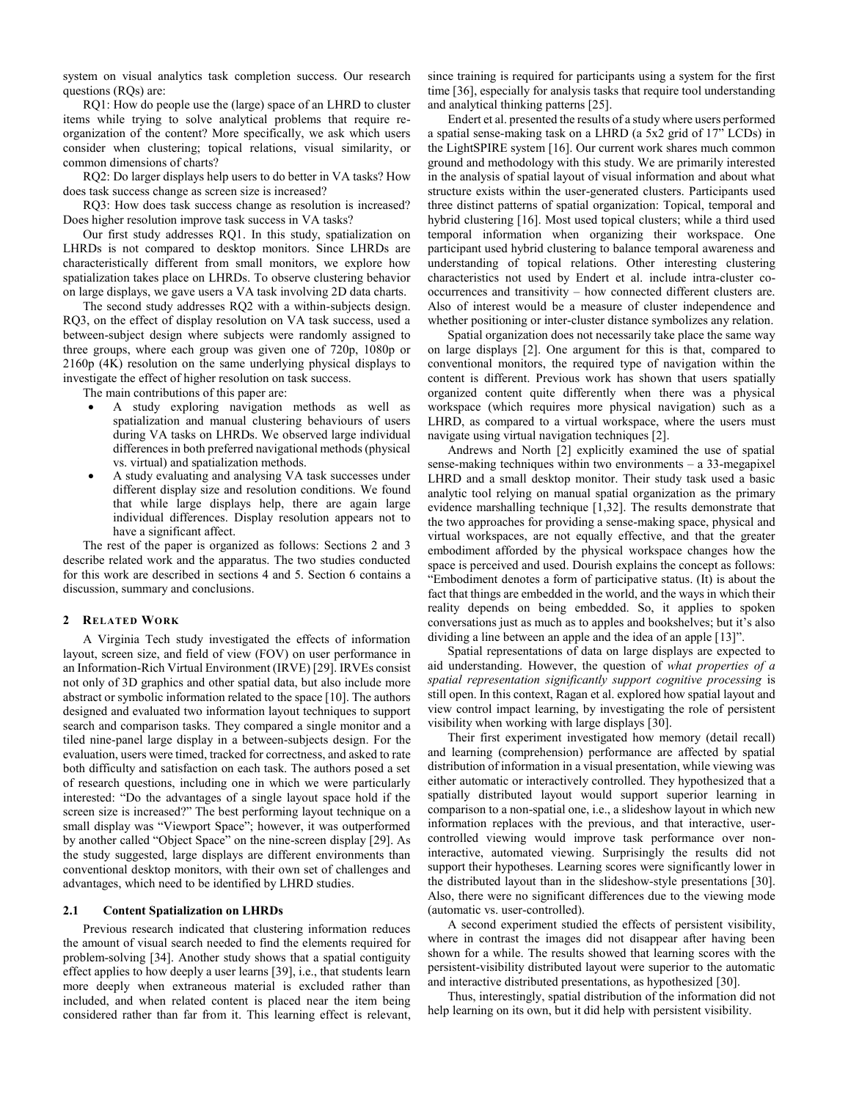system on visual analytics task completion success. Our research questions (RQs) are:

RQ1: How do people use the (large) space of an LHRD to cluster items while trying to solve analytical problems that require reorganization of the content? More specifically, we ask which users consider when clustering; topical relations, visual similarity, or common dimensions of charts?

RQ2: Do larger displays help users to do better in VA tasks? How does task success change as screen size is increased?

RQ3: How does task success change as resolution is increased? Does higher resolution improve task success in VA tasks?

Our first study addresses RQ1. In this study, spatialization on LHRDs is not compared to desktop monitors. Since LHRDs are characteristically different from small monitors, we explore how spatialization takes place on LHRDs. To observe clustering behavior on large displays, we gave users a VA task involving 2D data charts.

The second study addresses RQ2 with a within-subjects design. RQ3, on the effect of display resolution on VA task success, used a between-subject design where subjects were randomly assigned to three groups, where each group was given one of 720p, 1080p or 2160p (4K) resolution on the same underlying physical displays to investigate the effect of higher resolution on task success.

The main contributions of this paper are:

- A study exploring navigation methods as well as spatialization and manual clustering behaviours of users during VA tasks on LHRDs. We observed large individual differences in both preferred navigational methods (physical vs. virtual) and spatialization methods.
- A study evaluating and analysing VA task successes under different display size and resolution conditions. We found that while large displays help, there are again large individual differences. Display resolution appears not to have a significant affect.

The rest of the paper is organized as follows: Sections 2 and 3 describe related work and the apparatus. The two studies conducted for this work are described in sections 4 and 5. Section 6 contains a discussion, summary and conclusions.

## **2 RELATED WORK**

A Virginia Tech study investigated the effects of information layout, screen size, and field of view (FOV) on user performance in an Information-Rich Virtual Environment (IRVE) [29]. IRVEs consist not only of 3D graphics and other spatial data, but also include more abstract or symbolic information related to the space [10]. The authors designed and evaluated two information layout techniques to support search and comparison tasks. They compared a single monitor and a tiled nine-panel large display in a between-subjects design. For the evaluation, users were timed, tracked for correctness, and asked to rate both difficulty and satisfaction on each task. The authors posed a set of research questions, including one in which we were particularly interested: "Do the advantages of a single layout space hold if the screen size is increased?" The best performing layout technique on a small display was "Viewport Space"; however, it was outperformed by another called "Object Space" on the nine-screen display [29]. As the study suggested, large displays are different environments than conventional desktop monitors, with their own set of challenges and advantages, which need to be identified by LHRD studies.

# **2.1 Content Spatialization on LHRDs**

Previous research indicated that clustering information reduces the amount of visual search needed to find the elements required for problem-solving [34]. Another study shows that a spatial contiguity effect applies to how deeply a user learns [39], i.e., that students learn more deeply when extraneous material is excluded rather than included, and when related content is placed near the item being considered rather than far from it. This learning effect is relevant, since training is required for participants using a system for the first time [36], especially for analysis tasks that require tool understanding and analytical thinking patterns [25].

Endert et al. presented the results of a study where users performed a spatial sense-making task on a LHRD (a 5x2 grid of 17" LCDs) in the LightSPIRE system [16]. Our current work shares much common ground and methodology with this study. We are primarily interested in the analysis of spatial layout of visual information and about what structure exists within the user-generated clusters. Participants used three distinct patterns of spatial organization: Topical, temporal and hybrid clustering [16]. Most used topical clusters; while a third used temporal information when organizing their workspace. One participant used hybrid clustering to balance temporal awareness and understanding of topical relations. Other interesting clustering characteristics not used by Endert et al. include intra-cluster cooccurrences and transitivity – how connected different clusters are. Also of interest would be a measure of cluster independence and whether positioning or inter-cluster distance symbolizes any relation.

Spatial organization does not necessarily take place the same way on large displays [2]. One argument for this is that, compared to conventional monitors, the required type of navigation within the content is different. Previous work has shown that users spatially organized content quite differently when there was a physical workspace (which requires more physical navigation) such as a LHRD, as compared to a virtual workspace, where the users must navigate using virtual navigation techniques [2].

Andrews and North [2] explicitly examined the use of spatial sense-making techniques within two environments – a 33-megapixel LHRD and a small desktop monitor. Their study task used a basic analytic tool relying on manual spatial organization as the primary evidence marshalling technique [1,32]. The results demonstrate that the two approaches for providing a sense-making space, physical and virtual workspaces, are not equally effective, and that the greater embodiment afforded by the physical workspace changes how the space is perceived and used. Dourish explains the concept as follows: "Embodiment denotes a form of participative status. (It) is about the fact that things are embedded in the world, and the ways in which their reality depends on being embedded. So, it applies to spoken conversations just as much as to apples and bookshelves; but it's also dividing a line between an apple and the idea of an apple [13]".

Spatial representations of data on large displays are expected to aid understanding. However, the question of *what properties of a spatial representation significantly support cognitive processing* is still open. In this context, Ragan et al. explored how spatial layout and view control impact learning, by investigating the role of persistent visibility when working with large displays [30].

Their first experiment investigated how memory (detail recall) and learning (comprehension) performance are affected by spatial distribution of information in a visual presentation, while viewing was either automatic or interactively controlled. They hypothesized that a spatially distributed layout would support superior learning in comparison to a non-spatial one, i.e., a slideshow layout in which new information replaces with the previous, and that interactive, usercontrolled viewing would improve task performance over noninteractive, automated viewing. Surprisingly the results did not support their hypotheses. Learning scores were significantly lower in the distributed layout than in the slideshow-style presentations [30]. Also, there were no significant differences due to the viewing mode (automatic vs. user-controlled).

A second experiment studied the effects of persistent visibility, where in contrast the images did not disappear after having been shown for a while. The results showed that learning scores with the persistent-visibility distributed layout were superior to the automatic and interactive distributed presentations, as hypothesized [30].

Thus, interestingly, spatial distribution of the information did not help learning on its own, but it did help with persistent visibility.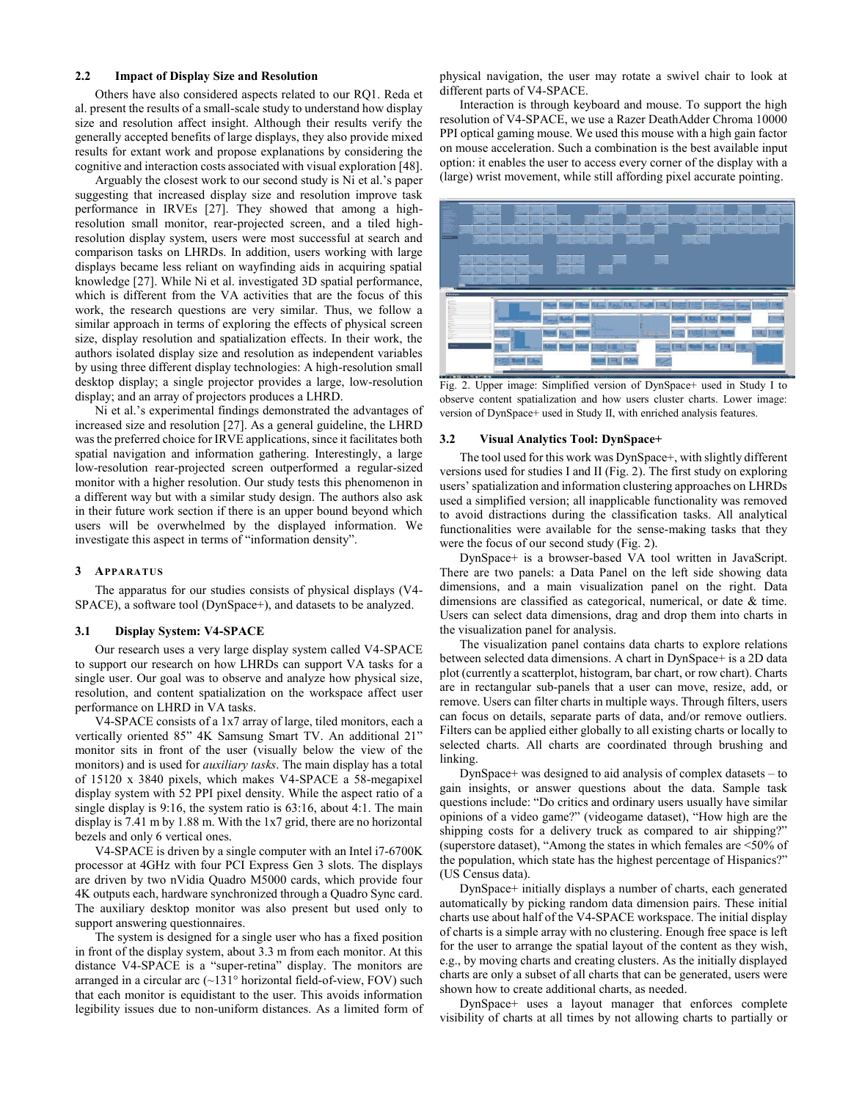## **2.2 Impact of Display Size and Resolution**

Others have also considered aspects related to our RQ1. Reda et al. present the results of a small-scale study to understand how display size and resolution affect insight. Although their results verify the generally accepted benefits of large displays, they also provide mixed results for extant work and propose explanations by considering the cognitive and interaction costs associated with visual exploration [48].

Arguably the closest work to our second study is Ni et al.'s paper suggesting that increased display size and resolution improve task performance in IRVEs [27]. They showed that among a highresolution small monitor, rear-projected screen, and a tiled highresolution display system, users were most successful at search and comparison tasks on LHRDs. In addition, users working with large displays became less reliant on wayfinding aids in acquiring spatial knowledge [27]. While Ni et al. investigated 3D spatial performance, which is different from the VA activities that are the focus of this work, the research questions are very similar. Thus, we follow a similar approach in terms of exploring the effects of physical screen size, display resolution and spatialization effects. In their work, the authors isolated display size and resolution as independent variables by using three different display technologies: A high-resolution small desktop display; a single projector provides a large, low-resolution display; and an array of projectors produces a LHRD.

Ni et al.'s experimental findings demonstrated the advantages of increased size and resolution [27]. As a general guideline, the LHRD was the preferred choice for IRVE applications, since it facilitates both spatial navigation and information gathering. Interestingly, a large low-resolution rear-projected screen outperformed a regular-sized monitor with a higher resolution. Our study tests this phenomenon in a different way but with a similar study design. The authors also ask in their future work section if there is an upper bound beyond which users will be overwhelmed by the displayed information. We investigate this aspect in terms of "information density".

#### **3 APPARATUS**

The apparatus for our studies consists of physical displays (V4- SPACE), a software tool (DynSpace+), and datasets to be analyzed.

## **3.1 Display System: V4-SPACE**

Our research uses a very large display system called V4-SPACE to support our research on how LHRDs can support VA tasks for a single user. Our goal was to observe and analyze how physical size, resolution, and content spatialization on the workspace affect user performance on LHRD in VA tasks.

V4-SPACE consists of a 1x7 array of large, tiled monitors, each a vertically oriented 85" 4K Samsung Smart TV. An additional 21" monitor sits in front of the user (visually below the view of the monitors) and is used for *auxiliary tasks*. The main display has a total of 15120 x 3840 pixels, which makes V4-SPACE a 58-megapixel display system with 52 PPI pixel density. While the aspect ratio of a single display is 9:16, the system ratio is 63:16, about 4:1. The main display is 7.41 m by 1.88 m. With the 1x7 grid, there are no horizontal bezels and only 6 vertical ones.

V4-SPACE is driven by a single computer with an Intel i7-6700K processor at 4GHz with four PCI Express Gen 3 slots. The displays are driven by two nVidia Quadro M5000 cards, which provide four 4K outputs each, hardware synchronized through a Quadro Sync card. The auxiliary desktop monitor was also present but used only to support answering questionnaires.

The system is designed for a single user who has a fixed position in front of the display system, about 3.3 m from each monitor. At this distance V4-SPACE is a "super-retina" display. The monitors are arranged in a circular arc  $(\sim 131^\circ$  horizontal field-of-view, FOV) such that each monitor is equidistant to the user. This avoids information legibility issues due to non-uniform distances. As a limited form of physical navigation, the user may rotate a swivel chair to look at different parts of V4-SPACE.

Interaction is through keyboard and mouse. To support the high resolution of V4-SPACE, we use a Razer DeathAdder Chroma 10000 PPI optical gaming mouse. We used this mouse with a high gain factor on mouse acceleration. Such a combination is the best available input option: it enables the user to access every corner of the display with a (large) wrist movement, while still affording pixel accurate pointing.



Fig. 2. Upper image: Simplified version of DynSpace+ used in Study I to observe content spatialization and how users cluster charts. Lower image: version of DynSpace+ used in Study II, with enriched analysis features.

# **3.2 Visual Analytics Tool: DynSpace+**

The tool used for this work was DynSpace+, with slightly different versions used for studies I and II (Fig. 2). The first study on exploring users' spatialization and information clustering approaches on LHRDs used a simplified version; all inapplicable functionality was removed to avoid distractions during the classification tasks. All analytical functionalities were available for the sense-making tasks that they were the focus of our second study (Fig. 2).

DynSpace+ is a browser-based VA tool written in JavaScript. There are two panels: a Data Panel on the left side showing data dimensions, and a main visualization panel on the right. Data dimensions are classified as categorical, numerical, or date & time. Users can select data dimensions, drag and drop them into charts in the visualization panel for analysis.

The visualization panel contains data charts to explore relations between selected data dimensions. A chart in DynSpace+ is a 2D data plot (currently a scatterplot, histogram, bar chart, or row chart). Charts are in rectangular sub-panels that a user can move, resize, add, or remove. Users can filter charts in multiple ways. Through filters, users can focus on details, separate parts of data, and/or remove outliers. Filters can be applied either globally to all existing charts or locally to selected charts. All charts are coordinated through brushing and linking.

DynSpace+ was designed to aid analysis of complex datasets – to gain insights, or answer questions about the data. Sample task questions include: "Do critics and ordinary users usually have similar opinions of a video game?" (videogame dataset), "How high are the shipping costs for a delivery truck as compared to air shipping?" (superstore dataset), "Among the states in which females are <50% of the population, which state has the highest percentage of Hispanics?" (US Census data).

DynSpace+ initially displays a number of charts, each generated automatically by picking random data dimension pairs. These initial charts use about half of the V4-SPACE workspace. The initial display of charts is a simple array with no clustering. Enough free space is left for the user to arrange the spatial layout of the content as they wish, e.g., by moving charts and creating clusters. As the initially displayed charts are only a subset of all charts that can be generated, users were shown how to create additional charts, as needed.

DynSpace+ uses a layout manager that enforces complete visibility of charts at all times by not allowing charts to partially or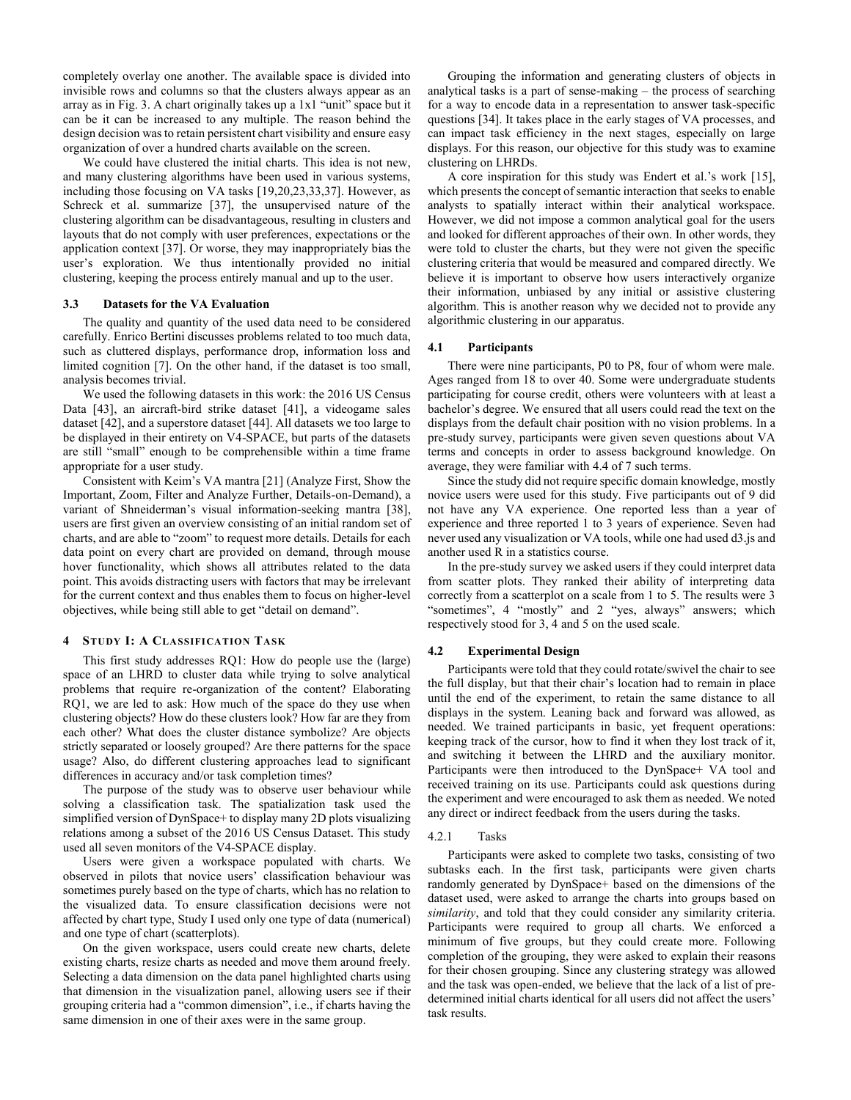completely overlay one another. The available space is divided into invisible rows and columns so that the clusters always appear as an array as in Fig. 3. A chart originally takes up a 1x1 "unit" space but it can be it can be increased to any multiple. The reason behind the design decision was to retain persistent chart visibility and ensure easy organization of over a hundred charts available on the screen.

We could have clustered the initial charts. This idea is not new, and many clustering algorithms have been used in various systems, including those focusing on VA tasks [19,20,23,33,37]. However, as Schreck et al. summarize [37], the unsupervised nature of the clustering algorithm can be disadvantageous, resulting in clusters and layouts that do not comply with user preferences, expectations or the application context [37]. Or worse, they may inappropriately bias the user's exploration. We thus intentionally provided no initial clustering, keeping the process entirely manual and up to the user.

# **3.3 Datasets for the VA Evaluation**

The quality and quantity of the used data need to be considered carefully. Enrico Bertini discusses problems related to too much data, such as cluttered displays, performance drop, information loss and limited cognition [7]. On the other hand, if the dataset is too small, analysis becomes trivial.

We used the following datasets in this work: the 2016 US Census Data [43], an aircraft-bird strike dataset [41], a videogame sales dataset [42], and a superstore dataset [44]. All datasets we too large to be displayed in their entirety on V4-SPACE, but parts of the datasets are still "small" enough to be comprehensible within a time frame appropriate for a user study.

Consistent with Keim's VA mantra [21] (Analyze First, Show the Important, Zoom, Filter and Analyze Further, Details-on-Demand), a variant of Shneiderman's visual information-seeking mantra [38], users are first given an overview consisting of an initial random set of charts, and are able to "zoom" to request more details. Details for each data point on every chart are provided on demand, through mouse hover functionality, which shows all attributes related to the data point. This avoids distracting users with factors that may be irrelevant for the current context and thus enables them to focus on higher-level objectives, while being still able to get "detail on demand".

### **4 STUDY I: A CLASSIFICATION TASK**

This first study addresses RQ1: How do people use the (large) space of an LHRD to cluster data while trying to solve analytical problems that require re-organization of the content? Elaborating RQ1, we are led to ask: How much of the space do they use when clustering objects? How do these clusters look? How far are they from each other? What does the cluster distance symbolize? Are objects strictly separated or loosely grouped? Are there patterns for the space usage? Also, do different clustering approaches lead to significant differences in accuracy and/or task completion times?

The purpose of the study was to observe user behaviour while solving a classification task. The spatialization task used the simplified version of DynSpace+ to display many 2D plots visualizing relations among a subset of the 2016 US Census Dataset. This study used all seven monitors of the V4-SPACE display.

Users were given a workspace populated with charts. We observed in pilots that novice users' classification behaviour was sometimes purely based on the type of charts, which has no relation to the visualized data. To ensure classification decisions were not affected by chart type, Study I used only one type of data (numerical) and one type of chart (scatterplots).

On the given workspace, users could create new charts, delete existing charts, resize charts as needed and move them around freely. Selecting a data dimension on the data panel highlighted charts using that dimension in the visualization panel, allowing users see if their grouping criteria had a "common dimension", i.e., if charts having the same dimension in one of their axes were in the same group.

Grouping the information and generating clusters of objects in analytical tasks is a part of sense-making – the process of searching for a way to encode data in a representation to answer task-specific questions [34]. It takes place in the early stages of VA processes, and can impact task efficiency in the next stages, especially on large displays. For this reason, our objective for this study was to examine clustering on LHRDs.

A core inspiration for this study was Endert et al.'s work [15], which presents the concept of semantic interaction that seeks to enable analysts to spatially interact within their analytical workspace. However, we did not impose a common analytical goal for the users and looked for different approaches of their own. In other words, they were told to cluster the charts, but they were not given the specific clustering criteria that would be measured and compared directly. We believe it is important to observe how users interactively organize their information, unbiased by any initial or assistive clustering algorithm. This is another reason why we decided not to provide any algorithmic clustering in our apparatus.

#### **4.1 Participants**

There were nine participants, P0 to P8, four of whom were male. Ages ranged from 18 to over 40. Some were undergraduate students participating for course credit, others were volunteers with at least a bachelor's degree. We ensured that all users could read the text on the displays from the default chair position with no vision problems. In a pre-study survey, participants were given seven questions about VA terms and concepts in order to assess background knowledge. On average, they were familiar with 4.4 of 7 such terms.

Since the study did not require specific domain knowledge, mostly novice users were used for this study. Five participants out of 9 did not have any VA experience. One reported less than a year of experience and three reported 1 to 3 years of experience. Seven had never used any visualization or VA tools, while one had used d3.js and another used R in a statistics course.

In the pre-study survey we asked users if they could interpret data from scatter plots. They ranked their ability of interpreting data correctly from a scatterplot on a scale from 1 to 5. The results were 3 "sometimes", 4 "mostly" and 2 "yes, always" answers; which respectively stood for 3, 4 and 5 on the used scale.

#### **4.2 Experimental Design**

Participants were told that they could rotate/swivel the chair to see the full display, but that their chair's location had to remain in place until the end of the experiment, to retain the same distance to all displays in the system. Leaning back and forward was allowed, as needed. We trained participants in basic, yet frequent operations: keeping track of the cursor, how to find it when they lost track of it, and switching it between the LHRD and the auxiliary monitor. Participants were then introduced to the DynSpace+ VA tool and received training on its use. Participants could ask questions during the experiment and were encouraged to ask them as needed. We noted any direct or indirect feedback from the users during the tasks.

#### 4.2.1 Tasks

Participants were asked to complete two tasks, consisting of two subtasks each. In the first task, participants were given charts randomly generated by DynSpace+ based on the dimensions of the dataset used, were asked to arrange the charts into groups based on *similarity*, and told that they could consider any similarity criteria. Participants were required to group all charts. We enforced a minimum of five groups, but they could create more. Following completion of the grouping, they were asked to explain their reasons for their chosen grouping. Since any clustering strategy was allowed and the task was open-ended, we believe that the lack of a list of predetermined initial charts identical for all users did not affect the users' task results.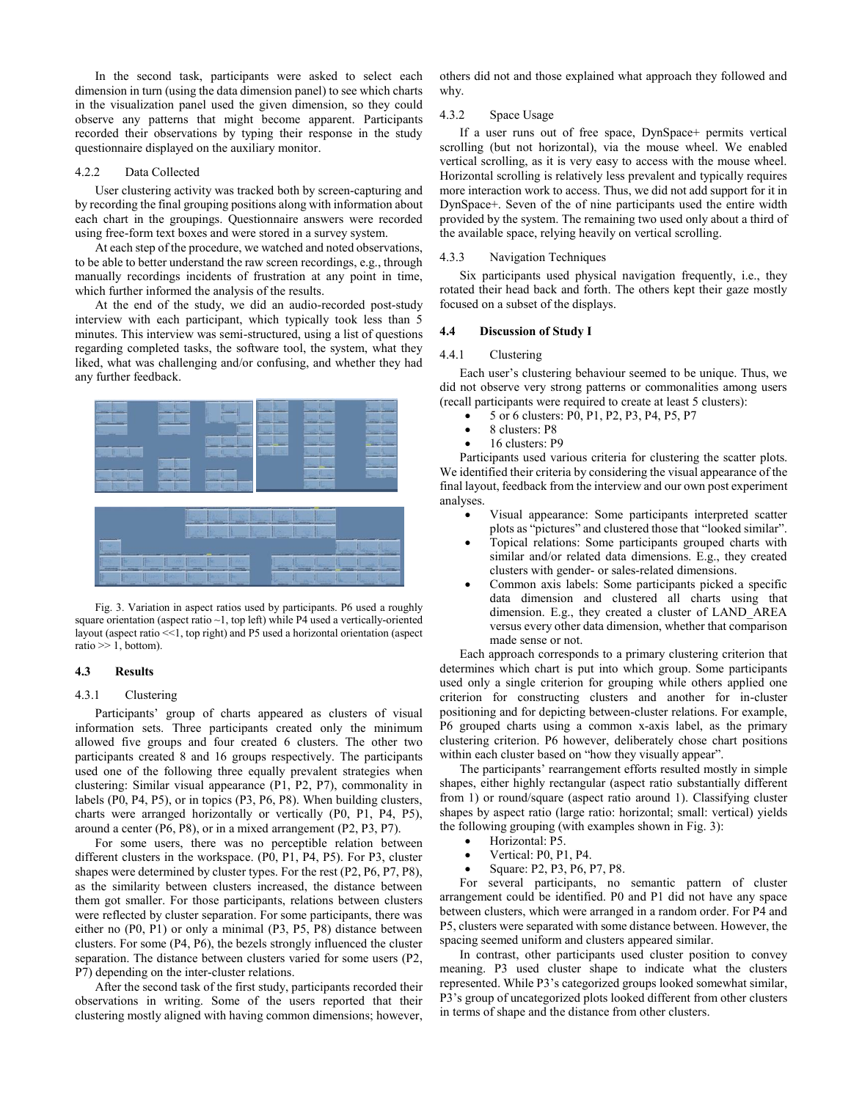In the second task, participants were asked to select each dimension in turn (using the data dimension panel) to see which charts in the visualization panel used the given dimension, so they could observe any patterns that might become apparent. Participants recorded their observations by typing their response in the study questionnaire displayed on the auxiliary monitor.

## 4.2.2 Data Collected

User clustering activity was tracked both by screen-capturing and by recording the final grouping positions along with information about each chart in the groupings. Questionnaire answers were recorded using free-form text boxes and were stored in a survey system.

At each step of the procedure, we watched and noted observations, to be able to better understand the raw screen recordings, e.g., through manually recordings incidents of frustration at any point in time, which further informed the analysis of the results.

At the end of the study, we did an audio-recorded post-study interview with each participant, which typically took less than 5 minutes. This interview was semi-structured, using a list of questions regarding completed tasks, the software tool, the system, what they liked, what was challenging and/or confusing, and whether they had any further feedback.



Fig. 3. Variation in aspect ratios used by participants. P6 used a roughly square orientation (aspect ratio ~1, top left) while P4 used a vertically-oriented layout (aspect ratio <<1, top right) and P5 used a horizontal orientation (aspect ratio  $\gg$  1, bottom).

#### **4.3 Results**

## 4.3.1 Clustering

Participants' group of charts appeared as clusters of visual information sets. Three participants created only the minimum allowed five groups and four created 6 clusters. The other two participants created 8 and 16 groups respectively. The participants used one of the following three equally prevalent strategies when clustering: Similar visual appearance (P1, P2, P7), commonality in labels (P0, P4, P5), or in topics (P3, P6, P8). When building clusters, charts were arranged horizontally or vertically (P0, P1, P4, P5), around a center (P6, P8), or in a mixed arrangement (P2, P3, P7).

For some users, there was no perceptible relation between different clusters in the workspace. (P0, P1, P4, P5). For P3, cluster shapes were determined by cluster types. For the rest (P2, P6, P7, P8), as the similarity between clusters increased, the distance between them got smaller. For those participants, relations between clusters were reflected by cluster separation. For some participants, there was either no (P0, P1) or only a minimal (P3, P5, P8) distance between clusters. For some (P4, P6), the bezels strongly influenced the cluster separation. The distance between clusters varied for some users (P2, P7) depending on the inter-cluster relations.

After the second task of the first study, participants recorded their observations in writing. Some of the users reported that their clustering mostly aligned with having common dimensions; however, others did not and those explained what approach they followed and why.

# 4.3.2 Space Usage

If a user runs out of free space, DynSpace+ permits vertical scrolling (but not horizontal), via the mouse wheel. We enabled vertical scrolling, as it is very easy to access with the mouse wheel. Horizontal scrolling is relatively less prevalent and typically requires more interaction work to access. Thus, we did not add support for it in DynSpace+. Seven of the of nine participants used the entire width provided by the system. The remaining two used only about a third of the available space, relying heavily on vertical scrolling.

#### 4.3.3 Navigation Techniques

Six participants used physical navigation frequently, i.e., they rotated their head back and forth. The others kept their gaze mostly focused on a subset of the displays.

#### **4.4 Discussion of Study I**

#### 4.4.1 Clustering

Each user's clustering behaviour seemed to be unique. Thus, we did not observe very strong patterns or commonalities among users (recall participants were required to create at least 5 clusters):

- 5 or 6 clusters: P0, P1, P2, P3, P4, P5, P7
- 8 clusters: P8
- 16 clusters: P9

Participants used various criteria for clustering the scatter plots. We identified their criteria by considering the visual appearance of the final layout, feedback from the interview and our own post experiment analyses.

- Visual appearance: Some participants interpreted scatter plots as "pictures" and clustered those that "looked similar".
- Topical relations: Some participants grouped charts with similar and/or related data dimensions. E.g., they created clusters with gender- or sales-related dimensions.
- Common axis labels: Some participants picked a specific data dimension and clustered all charts using that dimension. E.g., they created a cluster of LAND\_AREA versus every other data dimension, whether that comparison made sense or not.

Each approach corresponds to a primary clustering criterion that determines which chart is put into which group. Some participants used only a single criterion for grouping while others applied one criterion for constructing clusters and another for in-cluster positioning and for depicting between-cluster relations. For example, P6 grouped charts using a common x-axis label, as the primary clustering criterion. P6 however, deliberately chose chart positions within each cluster based on "how they visually appear".

The participants' rearrangement efforts resulted mostly in simple shapes, either highly rectangular (aspect ratio substantially different from 1) or round/square (aspect ratio around 1). Classifying cluster shapes by aspect ratio (large ratio: horizontal; small: vertical) yields the following grouping (with examples shown in Fig. 3):

- Horizontal: P5.
- Vertical: P0, P1, P4.
- Square: P2, P3, P6, P7, P8.

For several participants, no semantic pattern of cluster arrangement could be identified. P0 and P1 did not have any space between clusters, which were arranged in a random order. For P4 and P5, clusters were separated with some distance between. However, the spacing seemed uniform and clusters appeared similar.

In contrast, other participants used cluster position to convey meaning. P3 used cluster shape to indicate what the clusters represented. While P3's categorized groups looked somewhat similar, P3's group of uncategorized plots looked different from other clusters in terms of shape and the distance from other clusters.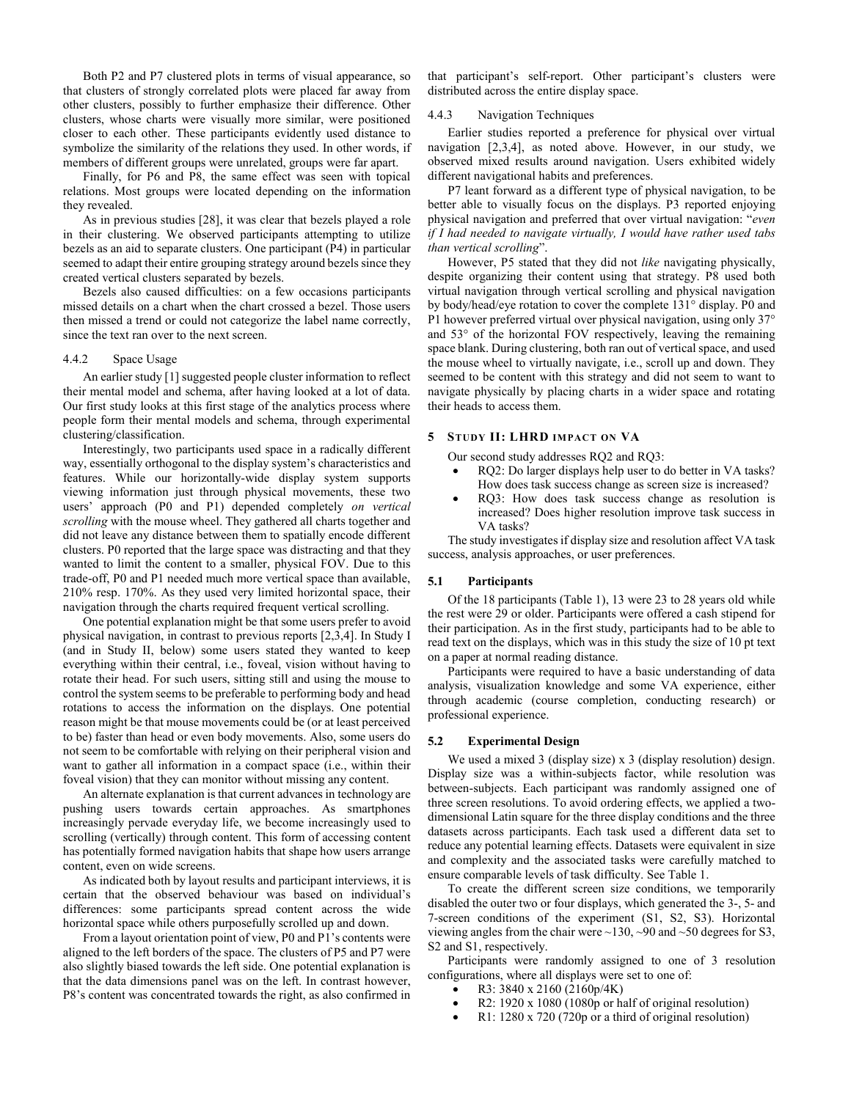Both P2 and P7 clustered plots in terms of visual appearance, so that clusters of strongly correlated plots were placed far away from other clusters, possibly to further emphasize their difference. Other clusters, whose charts were visually more similar, were positioned closer to each other. These participants evidently used distance to symbolize the similarity of the relations they used. In other words, if members of different groups were unrelated, groups were far apart.

Finally, for P6 and P8, the same effect was seen with topical relations. Most groups were located depending on the information they revealed.

As in previous studies [28], it was clear that bezels played a role in their clustering. We observed participants attempting to utilize bezels as an aid to separate clusters. One participant (P4) in particular seemed to adapt their entire grouping strategy around bezels since they created vertical clusters separated by bezels.

Bezels also caused difficulties: on a few occasions participants missed details on a chart when the chart crossed a bezel. Those users then missed a trend or could not categorize the label name correctly, since the text ran over to the next screen.

## 4.4.2 Space Usage

An earlier study [1] suggested people cluster information to reflect their mental model and schema, after having looked at a lot of data. Our first study looks at this first stage of the analytics process where people form their mental models and schema, through experimental clustering/classification.

Interestingly, two participants used space in a radically different way, essentially orthogonal to the display system's characteristics and features. While our horizontally-wide display system supports viewing information just through physical movements, these two users' approach (P0 and P1) depended completely *on vertical scrolling* with the mouse wheel. They gathered all charts together and did not leave any distance between them to spatially encode different clusters. P0 reported that the large space was distracting and that they wanted to limit the content to a smaller, physical FOV. Due to this trade-off, P0 and P1 needed much more vertical space than available, 210% resp. 170%. As they used very limited horizontal space, their navigation through the charts required frequent vertical scrolling.

One potential explanation might be that some users prefer to avoid physical navigation, in contrast to previous reports [2,3,4]. In Study I (and in Study II, below) some users stated they wanted to keep everything within their central, i.e., foveal, vision without having to rotate their head. For such users, sitting still and using the mouse to control the system seems to be preferable to performing body and head rotations to access the information on the displays. One potential reason might be that mouse movements could be (or at least perceived to be) faster than head or even body movements. Also, some users do not seem to be comfortable with relying on their peripheral vision and want to gather all information in a compact space (i.e., within their foveal vision) that they can monitor without missing any content.

An alternate explanation is that current advances in technology are pushing users towards certain approaches. As smartphones increasingly pervade everyday life, we become increasingly used to scrolling (vertically) through content. This form of accessing content has potentially formed navigation habits that shape how users arrange content, even on wide screens.

As indicated both by layout results and participant interviews, it is certain that the observed behaviour was based on individual's differences: some participants spread content across the wide horizontal space while others purposefully scrolled up and down.

From a layout orientation point of view, P0 and P1's contents were aligned to the left borders of the space. The clusters of P5 and P7 were also slightly biased towards the left side. One potential explanation is that the data dimensions panel was on the left. In contrast however, P8's content was concentrated towards the right, as also confirmed in

that participant's self-report. Other participant's clusters were distributed across the entire display space.

# 4.4.3 Navigation Techniques

Earlier studies reported a preference for physical over virtual navigation [2,3,4], as noted above. However, in our study, we observed mixed results around navigation. Users exhibited widely different navigational habits and preferences.

P7 leant forward as a different type of physical navigation, to be better able to visually focus on the displays. P3 reported enjoying physical navigation and preferred that over virtual navigation: "*even if I had needed to navigate virtually, I would have rather used tabs than vertical scrolling*".

However, P5 stated that they did not *like* navigating physically, despite organizing their content using that strategy. P8 used both virtual navigation through vertical scrolling and physical navigation by body/head/eye rotation to cover the complete 131° display. P0 and P1 however preferred virtual over physical navigation, using only 37° and 53° of the horizontal FOV respectively, leaving the remaining space blank. During clustering, both ran out of vertical space, and used the mouse wheel to virtually navigate, i.e., scroll up and down. They seemed to be content with this strategy and did not seem to want to navigate physically by placing charts in a wider space and rotating their heads to access them.

# **5 STUDY II: LHRD IMPACT ON VA**

Our second study addresses RQ2 and RQ3:

- RQ2: Do larger displays help user to do better in VA tasks? How does task success change as screen size is increased?
- RQ3: How does task success change as resolution is increased? Does higher resolution improve task success in VA tasks?

The study investigates if display size and resolution affect VA task success, analysis approaches, or user preferences.

# **5.1 Participants**

Of the 18 participants (Table 1), 13 were 23 to 28 years old while the rest were 29 or older. Participants were offered a cash stipend for their participation. As in the first study, participants had to be able to read text on the displays, which was in this study the size of 10 pt text on a paper at normal reading distance.

Participants were required to have a basic understanding of data analysis, visualization knowledge and some VA experience, either through academic (course completion, conducting research) or professional experience.

# **5.2 Experimental Design**

We used a mixed 3 (display size) x 3 (display resolution) design. Display size was a within-subjects factor, while resolution was between-subjects. Each participant was randomly assigned one of three screen resolutions. To avoid ordering effects, we applied a twodimensional Latin square for the three display conditions and the three datasets across participants. Each task used a different data set to reduce any potential learning effects. Datasets were equivalent in size and complexity and the associated tasks were carefully matched to ensure comparable levels of task difficulty. See Table 1.

To create the different screen size conditions, we temporarily disabled the outer two or four displays, which generated the 3-, 5- and 7-screen conditions of the experiment (S1, S2, S3). Horizontal viewing angles from the chair were  $\sim$ 130,  $\sim$ 90 and  $\sim$ 50 degrees for S3, S2 and S1, respectively.

Participants were randomly assigned to one of 3 resolution configurations, where all displays were set to one of:

- R3: 3840 x 2160 (2160p/4K)
- R2: 1920 x 1080 (1080p or half of original resolution)
- R1: 1280 x 720 (720p or a third of original resolution)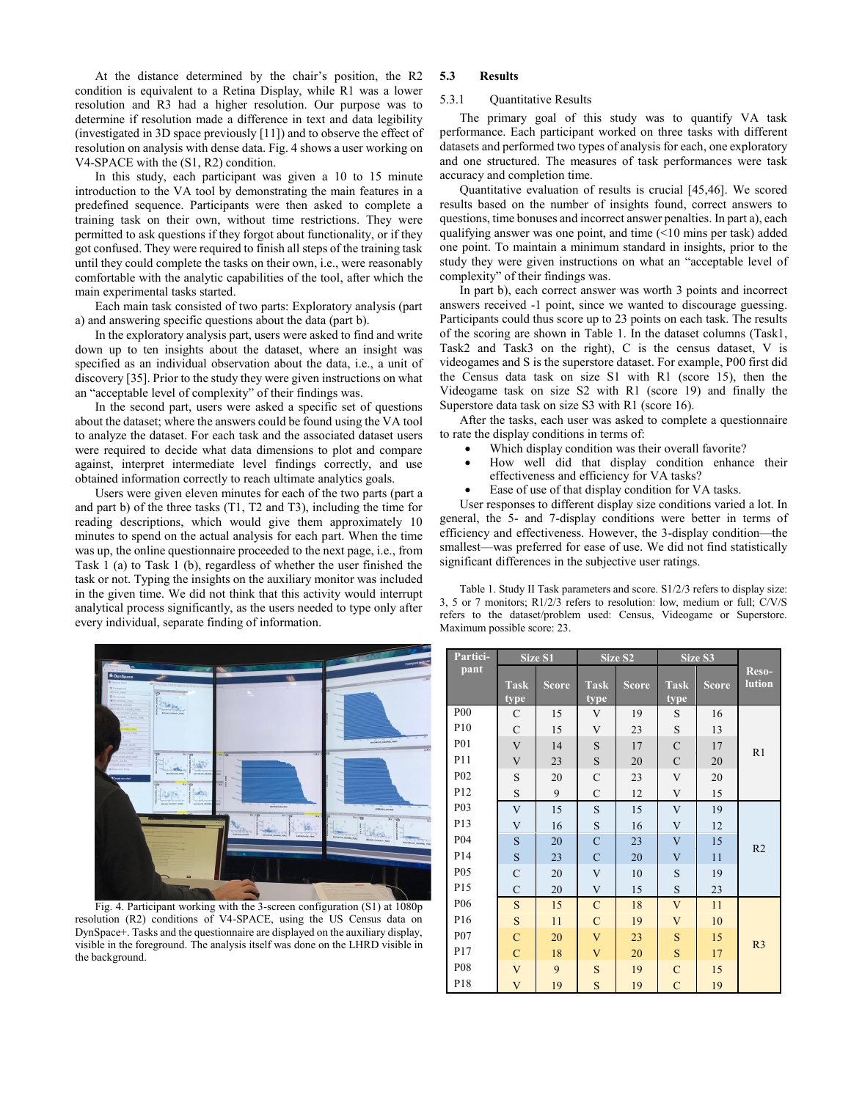At the distance determined by the chair's position, the R2 condition is equivalent to a Retina Display, while R1 was a lower resolution and R3 had a higher resolution. Our purpose was to determine if resolution made a difference in text and data legibility (investigated in 3D space previously [11]) and to observe the effect of resolution on analysis with dense data. Fig. 4 shows a user working on V4-SPACE with the (S1, R2) condition.

In this study, each participant was given a 10 to 15 minute introduction to the VA tool by demonstrating the main features in a predefined sequence. Participants were then asked to complete a training task on their own, without time restrictions. They were permitted to ask questions if they forgot about functionality, or if they got confused. They were required to finish all steps of the training task until they could complete the tasks on their own, i.e., were reasonably comfortable with the analytic capabilities of the tool, after which the main experimental tasks started.

Each main task consisted of two parts: Exploratory analysis (part a) and answering specific questions about the data (part b).

In the exploratory analysis part, users were asked to find and write down up to ten insights about the dataset, where an insight was specified as an individual observation about the data, i.e., a unit of discovery [35]. Prior to the study they were given instructions on what an "acceptable level of complexity" of their findings was.

In the second part, users were asked a specific set of questions about the dataset; where the answers could be found using the VA tool to analyze the dataset. For each task and the associated dataset users were required to decide what data dimensions to plot and compare against, interpret intermediate level findings correctly, and use obtained information correctly to reach ultimate analytics goals.

Users were given eleven minutes for each of the two parts (part a and part b) of the three tasks (T1, T2 and T3), including the time for reading descriptions, which would give them approximately 10 minutes to spend on the actual analysis for each part. When the time was up, the online questionnaire proceeded to the next page, i.e., from Task 1 (a) to Task 1 (b), regardless of whether the user finished the task or not. Typing the insights on the auxiliary monitor was included in the given time. We did not think that this activity would interrupt analytical process significantly, as the users needed to type only after every individual, separate finding of information.

# **5.3 Results**

# 5.3.1 Quantitative Results

The primary goal of this study was to quantify VA task performance. Each participant worked on three tasks with different datasets and performed two types of analysis for each, one exploratory and one structured. The measures of task performances were task accuracy and completion time.

Quantitative evaluation of results is crucial [45,46]. We scored results based on the number of insights found, correct answers to questions, time bonuses and incorrect answer penalties. In part a), each qualifying answer was one point, and time (<10 mins per task) added one point. To maintain a minimum standard in insights, prior to the study they were given instructions on what an "acceptable level of complexity" of their findings was.

In part b), each correct answer was worth 3 points and incorrect answers received -1 point, since we wanted to discourage guessing. Participants could thus score up to 23 points on each task. The results of the scoring are shown in Table 1. In the dataset columns (Task1, Task2 and Task3 on the right), C is the census dataset, V is videogames and S is the superstore dataset. For example, P00 first did the Census data task on size S1 with R1 (score 15), then the Videogame task on size S2 with R1 (score 19) and finally the Superstore data task on size S3 with R1 (score 16).

After the tasks, each user was asked to complete a questionnaire to rate the display conditions in terms of:

- Which display condition was their overall favorite?
- How well did that display condition enhance their effectiveness and efficiency for VA tasks?
- Ease of use of that display condition for VA tasks.

User responses to different display size conditions varied a lot. In general, the 5- and 7-display conditions were better in terms of efficiency and effectiveness. However, the 3-display condition—the smallest—was preferred for ease of use. We did not find statistically significant differences in the subjective user ratings.

Table 1. Study II Task parameters and score. S1/2/3 refers to display size: 3, 5 or 7 monitors; R1/2/3 refers to resolution: low, medium or full; C/V/S refers to the dataset/problem used: Census, Videogame or Superstore. Maximum possible score: 23.



Fig. 4. Participant working with the 3-screen configuration (S1) at 1080p resolution (R2) conditions of V4-SPACE, using the US Census data on DynSpace+. Tasks and the questionnaire are displayed on the auxiliary display, visible in the foreground. The analysis itself was done on the LHRD visible in the background.

| Partici-         | Size S1                 |              | Size S <sub>2</sub>     |              | Size S3                 |              |                        |
|------------------|-------------------------|--------------|-------------------------|--------------|-------------------------|--------------|------------------------|
| pant             | <b>Task</b><br>type     | <b>Score</b> | <b>Task</b><br>type     | <b>Score</b> | <b>Task</b><br>type     | <b>Score</b> | Reso-<br><b>lution</b> |
| P <sub>00</sub>  | C                       | 15           | V                       | 19           | S                       | 16           | R1                     |
| P10              | $\mathcal{C}$           | 15           | V                       | 23           | $\mathbf S$             | 13           |                        |
| <b>P01</b>       | $\overline{\mathsf{V}}$ | 14           | $\mathbf S$             | 17           | $\mathcal{C}$           | 17           |                        |
| P11              | V                       | 23           | S                       | 20           | $\mathcal{C}$           | 20           |                        |
| P <sub>02</sub>  | S                       | 20           | $\mathcal{C}$           | 23           | $\overline{V}$          | 20           |                        |
| P12              | $\mathbf S$             | 9            | $\overline{C}$          | 12           | V                       | 15           |                        |
| P <sub>0</sub> 3 | $\overline{V}$          | 15           | $\mathbf S$             | 15           | $\mathbf V$             | 19           | R <sub>2</sub>         |
| P13              | V                       | 16           | S                       | 16           | V                       | 12           |                        |
| P <sub>04</sub>  | S                       | 20           | $\mathcal{C}$           | 23           | $\overline{\mathsf{V}}$ | 15           |                        |
| P14              | $\mathbf S$             | 23           | $\mathcal{C}$           | 20           | $\mathbf V$             | 11           |                        |
| P <sub>05</sub>  | $\overline{C}$          | 20           | $\overline{\mathsf{V}}$ | 10           | S                       | 19           |                        |
| P15              | $\overline{C}$          | 20           | V                       | 15           | S                       | 23           |                        |
| P <sub>06</sub>  | ${\bf S}$               | 15           | $\mathbf C$             | 18           | $\overline{\mathbf{V}}$ | 11           |                        |
| P <sub>16</sub>  | S                       | 11           | $\mathbf C$             | 19           | $\mathbf V$             | 10           | R <sub>3</sub>         |
| P <sub>0</sub> 7 | $\mathbf C$             | 20           | $\bar{V}$               | 23           | ${\bf S}$               | 15           |                        |
| P17              | $\mathbf C$             | 18           | $\mathbf V$             | 20           | S                       | 17           |                        |
| P <sub>08</sub>  | $\overline{\mathsf{V}}$ | 9            | S                       | 19           | $\mathbf C$             | 15           |                        |
| P18              | V                       | 19           | S                       | 19           | $\overline{C}$          | 19           |                        |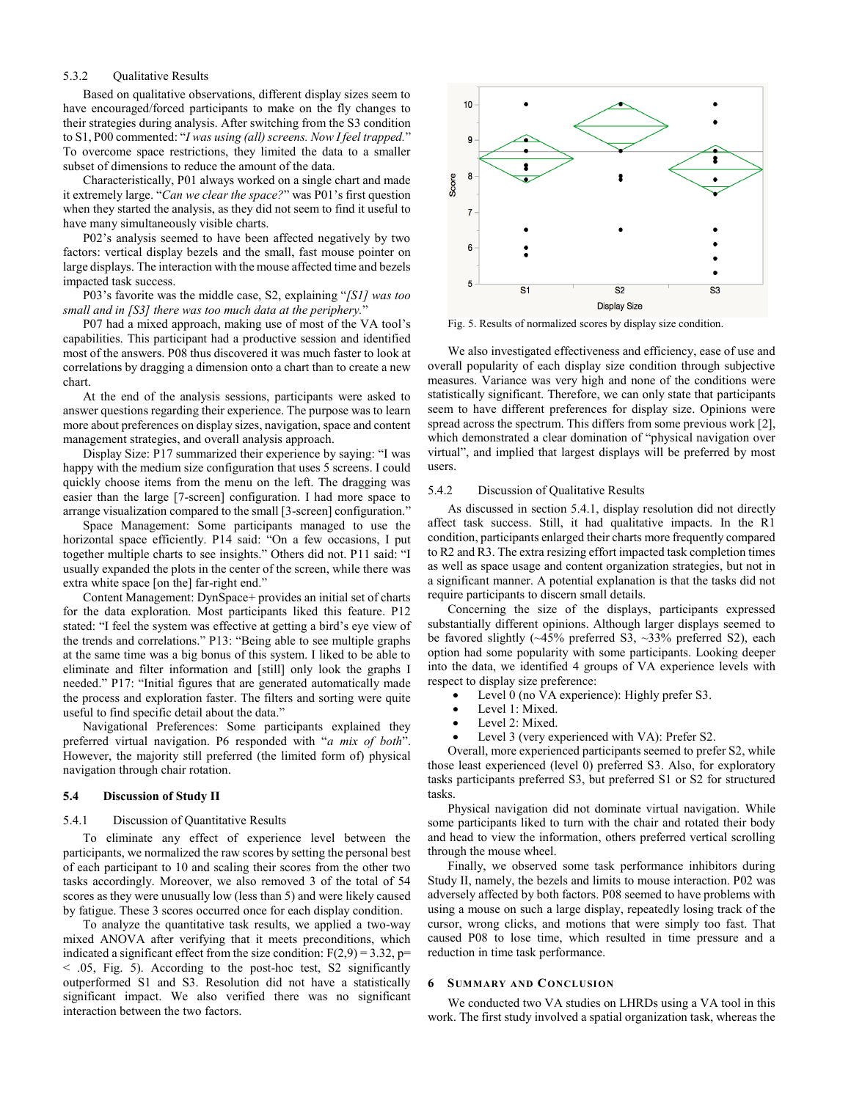## 5.3.2 Qualitative Results

Based on qualitative observations, different display sizes seem to have encouraged/forced participants to make on the fly changes to their strategies during analysis. After switching from the S3 condition to S1, P00 commented: "*I was using (all) screens. Now I feel trapped.*" To overcome space restrictions, they limited the data to a smaller subset of dimensions to reduce the amount of the data.

Characteristically, P01 always worked on a single chart and made it extremely large. "*Can we clear the space?*" was P01's first question when they started the analysis, as they did not seem to find it useful to have many simultaneously visible charts.

P02's analysis seemed to have been affected negatively by two factors: vertical display bezels and the small, fast mouse pointer on large displays. The interaction with the mouse affected time and bezels impacted task success.

P03's favorite was the middle case, S2, explaining "*[S1] was too small and in [S3] there was too much data at the periphery.*"

P07 had a mixed approach, making use of most of the VA tool's capabilities. This participant had a productive session and identified most of the answers. P08 thus discovered it was much faster to look at correlations by dragging a dimension onto a chart than to create a new chart.

At the end of the analysis sessions, participants were asked to answer questions regarding their experience. The purpose was to learn more about preferences on display sizes, navigation, space and content management strategies, and overall analysis approach.

Display Size: P17 summarized their experience by saying: "I was happy with the medium size configuration that uses 5 screens. I could quickly choose items from the menu on the left. The dragging was easier than the large [7-screen] configuration. I had more space to arrange visualization compared to the small [3-screen] configuration."

Space Management: Some participants managed to use the horizontal space efficiently. P14 said: "On a few occasions, I put together multiple charts to see insights." Others did not. P11 said: "I usually expanded the plots in the center of the screen, while there was extra white space [on the] far-right end."

Content Management: DynSpace+ provides an initial set of charts for the data exploration. Most participants liked this feature. P12 stated: "I feel the system was effective at getting a bird's eye view of the trends and correlations." P13: "Being able to see multiple graphs at the same time was a big bonus of this system. I liked to be able to eliminate and filter information and [still] only look the graphs I needed." P17: "Initial figures that are generated automatically made the process and exploration faster. The filters and sorting were quite useful to find specific detail about the data."

Navigational Preferences: Some participants explained they preferred virtual navigation. P6 responded with "*a mix of both*". However, the majority still preferred (the limited form of) physical navigation through chair rotation.

#### **5.4 Discussion of Study II**

#### 5.4.1 Discussion of Quantitative Results

To eliminate any effect of experience level between the participants, we normalized the raw scores by setting the personal best of each participant to 10 and scaling their scores from the other two tasks accordingly. Moreover, we also removed 3 of the total of 54 scores as they were unusually low (less than 5) and were likely caused by fatigue. These 3 scores occurred once for each display condition.

To analyze the quantitative task results, we applied a two-way mixed ANOVA after verifying that it meets preconditions, which indicated a significant effect from the size condition:  $F(2,9) = 3.32$ , p= < .05, Fig. 5). According to the post-hoc test, S2 significantly outperformed S1 and S3. Resolution did not have a statistically significant impact. We also verified there was no significant interaction between the two factors.



Fig. 5. Results of normalized scores by display size condition.

We also investigated effectiveness and efficiency, ease of use and overall popularity of each display size condition through subjective measures. Variance was very high and none of the conditions were statistically significant. Therefore, we can only state that participants seem to have different preferences for display size. Opinions were spread across the spectrum. This differs from some previous work [2], which demonstrated a clear domination of "physical navigation over virtual", and implied that largest displays will be preferred by most users.

## 5.4.2 Discussion of Qualitative Results

As discussed in section 5.4.1, display resolution did not directly affect task success. Still, it had qualitative impacts. In the R1 condition, participants enlarged their charts more frequently compared to R2 and R3. The extra resizing effort impacted task completion times as well as space usage and content organization strategies, but not in a significant manner. A potential explanation is that the tasks did not require participants to discern small details.

Concerning the size of the displays, participants expressed substantially different opinions. Although larger displays seemed to be favored slightly  $(-45\%$  preferred S3,  $-33\%$  preferred S2), each option had some popularity with some participants. Looking deeper into the data, we identified 4 groups of VA experience levels with respect to display size preference:

- Level 0 (no VA experience): Highly prefer S3.
- Level 1: Mixed.
- Level 2: Mixed.
- Level 3 (very experienced with VA): Prefer S2.

Overall, more experienced participants seemed to prefer S2, while those least experienced (level 0) preferred S3. Also, for exploratory tasks participants preferred S3, but preferred S1 or S2 for structured tasks.

Physical navigation did not dominate virtual navigation. While some participants liked to turn with the chair and rotated their body and head to view the information, others preferred vertical scrolling through the mouse wheel.

Finally, we observed some task performance inhibitors during Study II, namely, the bezels and limits to mouse interaction. P02 was adversely affected by both factors. P08 seemed to have problems with using a mouse on such a large display, repeatedly losing track of the cursor, wrong clicks, and motions that were simply too fast. That caused P08 to lose time, which resulted in time pressure and a reduction in time task performance.

# **6 SUMMARY AND CONCLUSION**

We conducted two VA studies on LHRDs using a VA tool in this work. The first study involved a spatial organization task, whereas the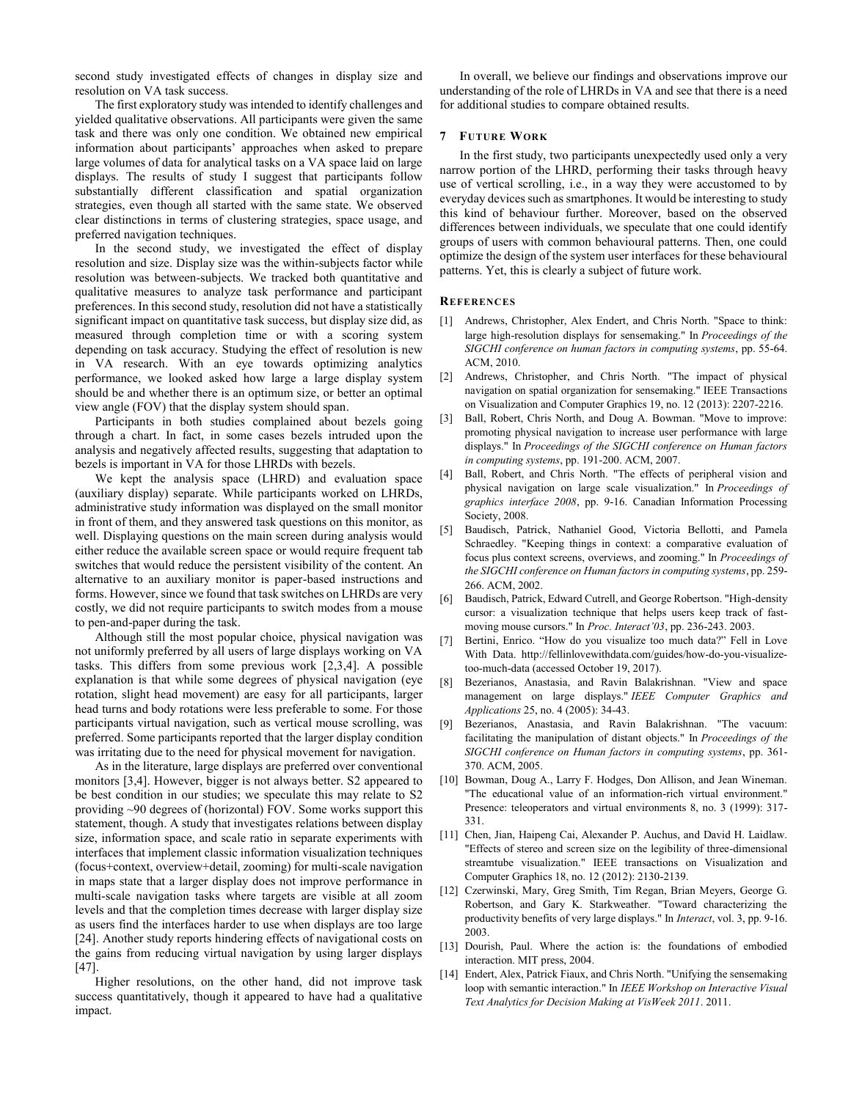second study investigated effects of changes in display size and resolution on VA task success.

The first exploratory study was intended to identify challenges and yielded qualitative observations. All participants were given the same task and there was only one condition. We obtained new empirical information about participants' approaches when asked to prepare large volumes of data for analytical tasks on a VA space laid on large displays. The results of study I suggest that participants follow substantially different classification and spatial organization strategies, even though all started with the same state. We observed clear distinctions in terms of clustering strategies, space usage, and preferred navigation techniques.

In the second study, we investigated the effect of display resolution and size. Display size was the within-subjects factor while resolution was between-subjects. We tracked both quantitative and qualitative measures to analyze task performance and participant preferences. In this second study, resolution did not have a statistically significant impact on quantitative task success, but display size did, as measured through completion time or with a scoring system depending on task accuracy. Studying the effect of resolution is new in VA research. With an eye towards optimizing analytics performance, we looked asked how large a large display system should be and whether there is an optimum size, or better an optimal view angle (FOV) that the display system should span.

Participants in both studies complained about bezels going through a chart. In fact, in some cases bezels intruded upon the analysis and negatively affected results, suggesting that adaptation to bezels is important in VA for those LHRDs with bezels.

We kept the analysis space (LHRD) and evaluation space (auxiliary display) separate. While participants worked on LHRDs, administrative study information was displayed on the small monitor in front of them, and they answered task questions on this monitor, as well. Displaying questions on the main screen during analysis would either reduce the available screen space or would require frequent tab switches that would reduce the persistent visibility of the content. An alternative to an auxiliary monitor is paper-based instructions and forms. However, since we found that task switches on LHRDs are very costly, we did not require participants to switch modes from a mouse to pen-and-paper during the task.

Although still the most popular choice, physical navigation was not uniformly preferred by all users of large displays working on VA tasks. This differs from some previous work [2,3,4]. A possible explanation is that while some degrees of physical navigation (eye rotation, slight head movement) are easy for all participants, larger head turns and body rotations were less preferable to some. For those participants virtual navigation, such as vertical mouse scrolling, was preferred. Some participants reported that the larger display condition was irritating due to the need for physical movement for navigation.

As in the literature, large displays are preferred over conventional monitors [3,4]. However, bigger is not always better. S2 appeared to be best condition in our studies; we speculate this may relate to S2 providing ~90 degrees of (horizontal) FOV. Some works support this statement, though. A study that investigates relations between display size, information space, and scale ratio in separate experiments with interfaces that implement classic information visualization techniques (focus+context, overview+detail, zooming) for multi-scale navigation in maps state that a larger display does not improve performance in multi-scale navigation tasks where targets are visible at all zoom levels and that the completion times decrease with larger display size as users find the interfaces harder to use when displays are too large [24]. Another study reports hindering effects of navigational costs on the gains from reducing virtual navigation by using larger displays [47].

Higher resolutions, on the other hand, did not improve task success quantitatively, though it appeared to have had a qualitative impact.

In overall, we believe our findings and observations improve our understanding of the role of LHRDs in VA and see that there is a need for additional studies to compare obtained results.

# **7 FUTURE WORK**

In the first study, two participants unexpectedly used only a very narrow portion of the LHRD, performing their tasks through heavy use of vertical scrolling, i.e., in a way they were accustomed to by everyday devices such as smartphones. It would be interesting to study this kind of behaviour further. Moreover, based on the observed differences between individuals, we speculate that one could identify groups of users with common behavioural patterns. Then, one could optimize the design of the system user interfaces for these behavioural patterns. Yet, this is clearly a subject of future work.

## **REFERENCES**

- [1] Andrews, Christopher, Alex Endert, and Chris North. "Space to think: large high-resolution displays for sensemaking." In *Proceedings of the SIGCHI conference on human factors in computing systems*, pp. 55-64. ACM, 2010.
- [2] Andrews, Christopher, and Chris North. "The impact of physical navigation on spatial organization for sensemaking." IEEE Transactions on Visualization and Computer Graphics 19, no. 12 (2013): 2207-2216.
- [3] Ball, Robert, Chris North, and Doug A. Bowman. "Move to improve: promoting physical navigation to increase user performance with large displays." In *Proceedings of the SIGCHI conference on Human factors in computing systems*, pp. 191-200. ACM, 2007.
- [4] Ball, Robert, and Chris North. "The effects of peripheral vision and physical navigation on large scale visualization." In *Proceedings of graphics interface 2008*, pp. 9-16. Canadian Information Processing Society, 2008.
- [5] Baudisch, Patrick, Nathaniel Good, Victoria Bellotti, and Pamela Schraedley. "Keeping things in context: a comparative evaluation of focus plus context screens, overviews, and zooming." In *Proceedings of the SIGCHI conference on Human factors in computing systems*, pp. 259- 266. ACM, 2002.
- [6] Baudisch, Patrick, Edward Cutrell, and George Robertson. "High-density cursor: a visualization technique that helps users keep track of fastmoving mouse cursors." In *Proc. Interact'03*, pp. 236-243. 2003.
- Bertini, Enrico. "How do you visualize too much data?" Fell in Love With Data. http://fellinlovewithdata.com/guides/how-do-you-visualizetoo-much-data (accessed October 19, 2017).
- [8] Bezerianos, Anastasia, and Ravin Balakrishnan. "View and space management on large displays." *IEEE Computer Graphics and Applications* 25, no. 4 (2005): 34-43.
- [9] Bezerianos, Anastasia, and Ravin Balakrishnan. "The vacuum: facilitating the manipulation of distant objects." In *Proceedings of the SIGCHI conference on Human factors in computing systems*, pp. 361- 370. ACM, 2005.
- [10] Bowman, Doug A., Larry F. Hodges, Don Allison, and Jean Wineman. "The educational value of an information-rich virtual environment." Presence: teleoperators and virtual environments 8, no. 3 (1999): 317- 331.
- [11] Chen, Jian, Haipeng Cai, Alexander P. Auchus, and David H. Laidlaw. "Effects of stereo and screen size on the legibility of three-dimensional streamtube visualization." IEEE transactions on Visualization and Computer Graphics 18, no. 12 (2012): 2130-2139.
- [12] Czerwinski, Mary, Greg Smith, Tim Regan, Brian Meyers, George G. Robertson, and Gary K. Starkweather. "Toward characterizing the productivity benefits of very large displays." In *Interact*, vol. 3, pp. 9-16. 2003.
- [13] Dourish, Paul. Where the action is: the foundations of embodied interaction. MIT press, 2004.
- [14] Endert, Alex, Patrick Fiaux, and Chris North. "Unifying the sensemaking loop with semantic interaction." In *IEEE Workshop on Interactive Visual Text Analytics for Decision Making at VisWeek 2011*. 2011.